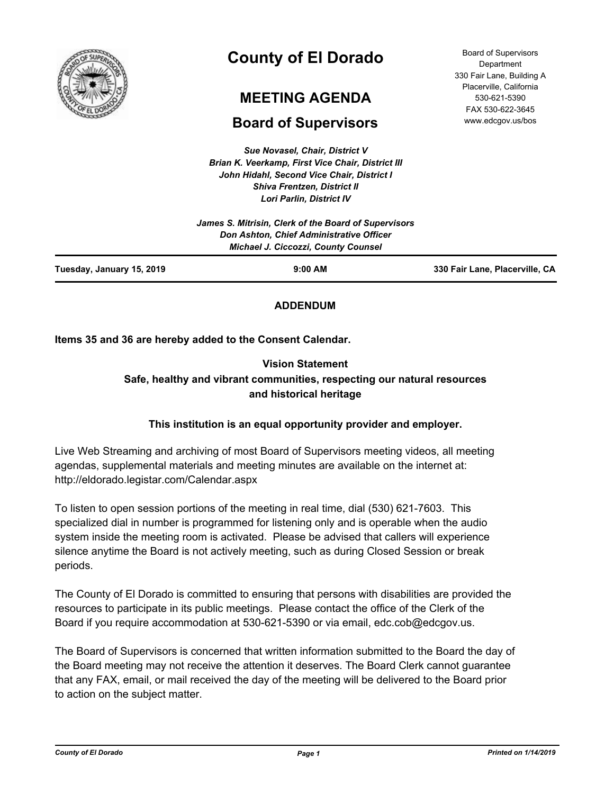

# **County of El Dorado**

## **MEETING AGENDA**

## **Board of Supervisors**

*Sue Novasel, Chair, District V Brian K. Veerkamp, First Vice Chair, District III John Hidahl, Second Vice Chair, District I Shiva Frentzen, District II*

| <b>Brian K. Veerkamp, First Vice Chair, District III</b> |  |
|----------------------------------------------------------|--|
| John Hidahl, Second Vice Chair, District I               |  |
| <b>Shiva Frentzen, District II</b>                       |  |
| <b>Lori Parlin, District IV</b>                          |  |
| James S. Mitrisin, Clerk of the Board of Supervisors     |  |
| Don Ashton, Chief Administrative Officer                 |  |
| <b>Michael J. Ciccozzi, County Counsel</b>               |  |
|                                                          |  |

Board of Supervisors **Department** 330 Fair Lane, Building A Placerville, California 530-621-5390 FAX 530-622-3645 www.edcgov.us/bos

**Tuesday, January 15, 2019 9:00 AM 330 Fair Lane, Placerville, CA**

### **ADDENDUM**

**Items 35 and 36 are hereby added to the Consent Calendar.**

## **Vision Statement Safe, healthy and vibrant communities, respecting our natural resources and historical heritage**

## **This institution is an equal opportunity provider and employer.**

Live Web Streaming and archiving of most Board of Supervisors meeting videos, all meeting agendas, supplemental materials and meeting minutes are available on the internet at: http://eldorado.legistar.com/Calendar.aspx

To listen to open session portions of the meeting in real time, dial (530) 621-7603. This specialized dial in number is programmed for listening only and is operable when the audio system inside the meeting room is activated. Please be advised that callers will experience silence anytime the Board is not actively meeting, such as during Closed Session or break periods.

The County of El Dorado is committed to ensuring that persons with disabilities are provided the resources to participate in its public meetings. Please contact the office of the Clerk of the Board if you require accommodation at 530-621-5390 or via email, edc.cob@edcgov.us.

The Board of Supervisors is concerned that written information submitted to the Board the day of the Board meeting may not receive the attention it deserves. The Board Clerk cannot guarantee that any FAX, email, or mail received the day of the meeting will be delivered to the Board prior to action on the subject matter.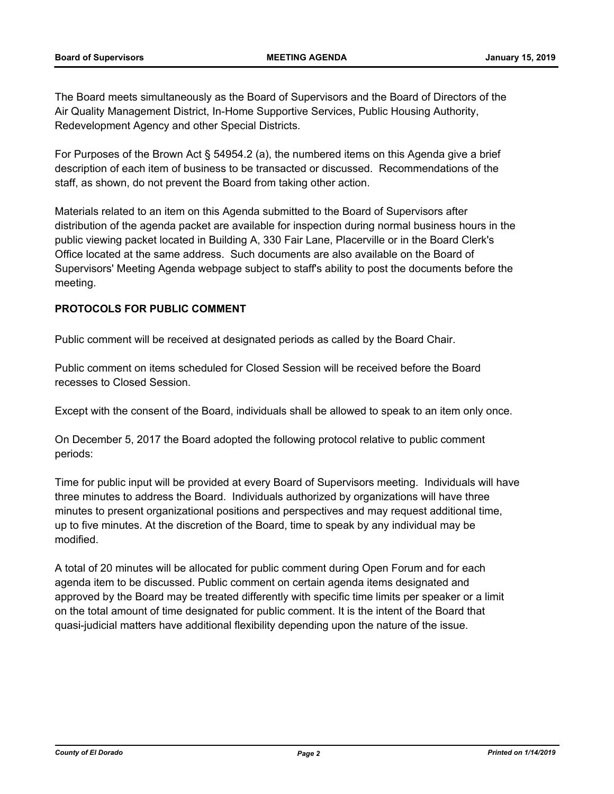The Board meets simultaneously as the Board of Supervisors and the Board of Directors of the Air Quality Management District, In-Home Supportive Services, Public Housing Authority, Redevelopment Agency and other Special Districts.

For Purposes of the Brown Act § 54954.2 (a), the numbered items on this Agenda give a brief description of each item of business to be transacted or discussed. Recommendations of the staff, as shown, do not prevent the Board from taking other action.

Materials related to an item on this Agenda submitted to the Board of Supervisors after distribution of the agenda packet are available for inspection during normal business hours in the public viewing packet located in Building A, 330 Fair Lane, Placerville or in the Board Clerk's Office located at the same address. Such documents are also available on the Board of Supervisors' Meeting Agenda webpage subject to staff's ability to post the documents before the meeting.

#### **PROTOCOLS FOR PUBLIC COMMENT**

Public comment will be received at designated periods as called by the Board Chair.

Public comment on items scheduled for Closed Session will be received before the Board recesses to Closed Session.

Except with the consent of the Board, individuals shall be allowed to speak to an item only once.

On December 5, 2017 the Board adopted the following protocol relative to public comment periods:

Time for public input will be provided at every Board of Supervisors meeting. Individuals will have three minutes to address the Board. Individuals authorized by organizations will have three minutes to present organizational positions and perspectives and may request additional time, up to five minutes. At the discretion of the Board, time to speak by any individual may be modified.

A total of 20 minutes will be allocated for public comment during Open Forum and for each agenda item to be discussed. Public comment on certain agenda items designated and approved by the Board may be treated differently with specific time limits per speaker or a limit on the total amount of time designated for public comment. It is the intent of the Board that quasi-judicial matters have additional flexibility depending upon the nature of the issue.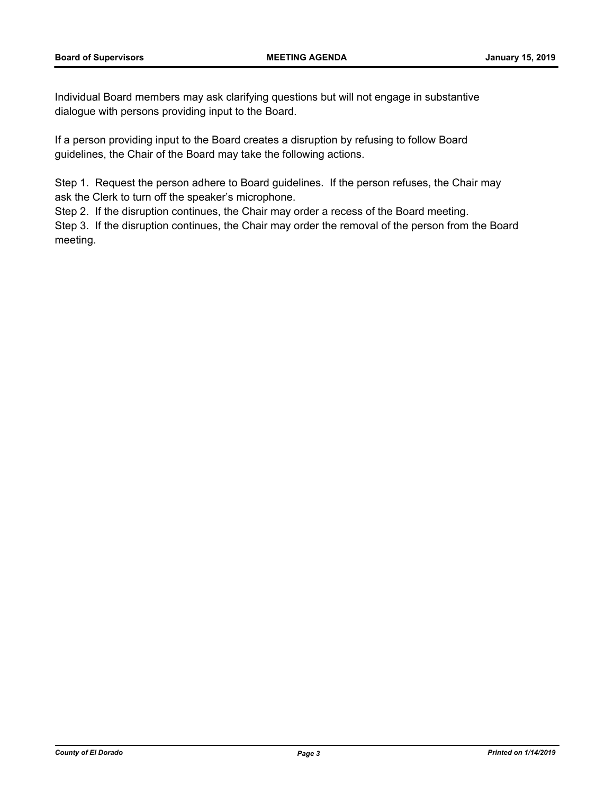Individual Board members may ask clarifying questions but will not engage in substantive dialogue with persons providing input to the Board.

If a person providing input to the Board creates a disruption by refusing to follow Board guidelines, the Chair of the Board may take the following actions.

Step 1. Request the person adhere to Board guidelines. If the person refuses, the Chair may ask the Clerk to turn off the speaker's microphone.

Step 2. If the disruption continues, the Chair may order a recess of the Board meeting.

Step 3. If the disruption continues, the Chair may order the removal of the person from the Board meeting.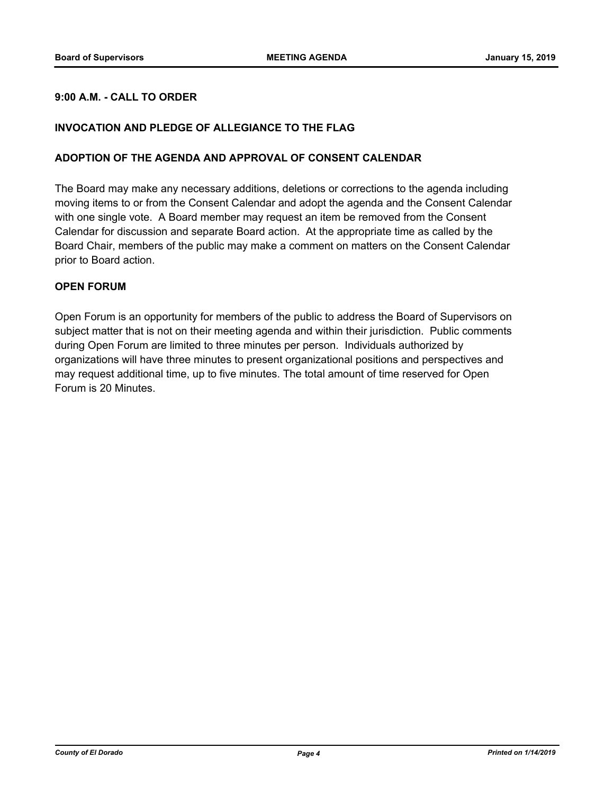#### **9:00 A.M. - CALL TO ORDER**

#### **INVOCATION AND PLEDGE OF ALLEGIANCE TO THE FLAG**

#### **ADOPTION OF THE AGENDA AND APPROVAL OF CONSENT CALENDAR**

The Board may make any necessary additions, deletions or corrections to the agenda including moving items to or from the Consent Calendar and adopt the agenda and the Consent Calendar with one single vote. A Board member may request an item be removed from the Consent Calendar for discussion and separate Board action. At the appropriate time as called by the Board Chair, members of the public may make a comment on matters on the Consent Calendar prior to Board action.

#### **OPEN FORUM**

Open Forum is an opportunity for members of the public to address the Board of Supervisors on subject matter that is not on their meeting agenda and within their jurisdiction. Public comments during Open Forum are limited to three minutes per person. Individuals authorized by organizations will have three minutes to present organizational positions and perspectives and may request additional time, up to five minutes. The total amount of time reserved for Open Forum is 20 Minutes.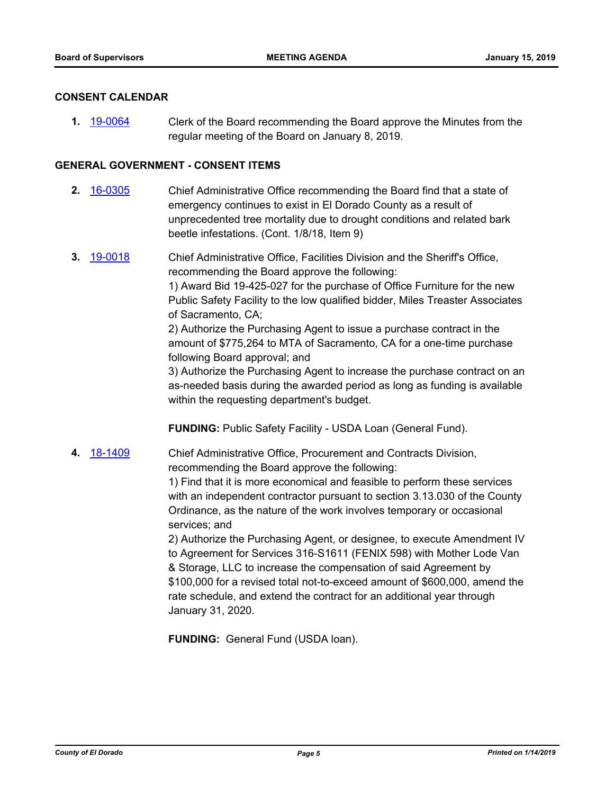#### **CONSENT CALENDAR**

**1.** [19-0064](http://eldorado.legistar.com/gateway.aspx?m=l&id=/matter.aspx?key=25385) Clerk of the Board recommending the Board approve the Minutes from the regular meeting of the Board on January 8, 2019.

#### **GENERAL GOVERNMENT - CONSENT ITEMS**

- **2.** [16-0305](http://eldorado.legistar.com/gateway.aspx?m=l&id=/matter.aspx?key=20961) Chief Administrative Office recommending the Board find that a state of emergency continues to exist in El Dorado County as a result of unprecedented tree mortality due to drought conditions and related bark beetle infestations. (Cont. 1/8/18, Item 9)
- **3.** [19-0018](http://eldorado.legistar.com/gateway.aspx?m=l&id=/matter.aspx?key=25339) Chief Administrative Office, Facilities Division and the Sheriff's Office, recommending the Board approve the following: 1) Award Bid 19-425-027 for the purchase of Office Furniture for the new Public Safety Facility to the low qualified bidder, Miles Treaster Associates of Sacramento, CA; 2) Authorize the Purchasing Agent to issue a purchase contract in the amount of \$775,264 to MTA of Sacramento, CA for a one-time purchase following Board approval; and 3) Authorize the Purchasing Agent to increase the purchase contract on an as-needed basis during the awarded period as long as funding is available within the requesting department's budget.

**FUNDING:** Public Safety Facility - USDA Loan (General Fund).

**4.** [18-1409](http://eldorado.legistar.com/gateway.aspx?m=l&id=/matter.aspx?key=24761) Chief Administrative Office, Procurement and Contracts Division, recommending the Board approve the following:

> 1) Find that it is more economical and feasible to perform these services with an independent contractor pursuant to section 3.13.030 of the County Ordinance, as the nature of the work involves temporary or occasional services; and

> 2) Authorize the Purchasing Agent, or designee, to execute Amendment IV to Agreement for Services 316-S1611 (FENIX 598) with Mother Lode Van & Storage, LLC to increase the compensation of said Agreement by \$100,000 for a revised total not-to-exceed amount of \$600,000, amend the rate schedule, and extend the contract for an additional year through January 31, 2020.

**FUNDING:** General Fund (USDA loan).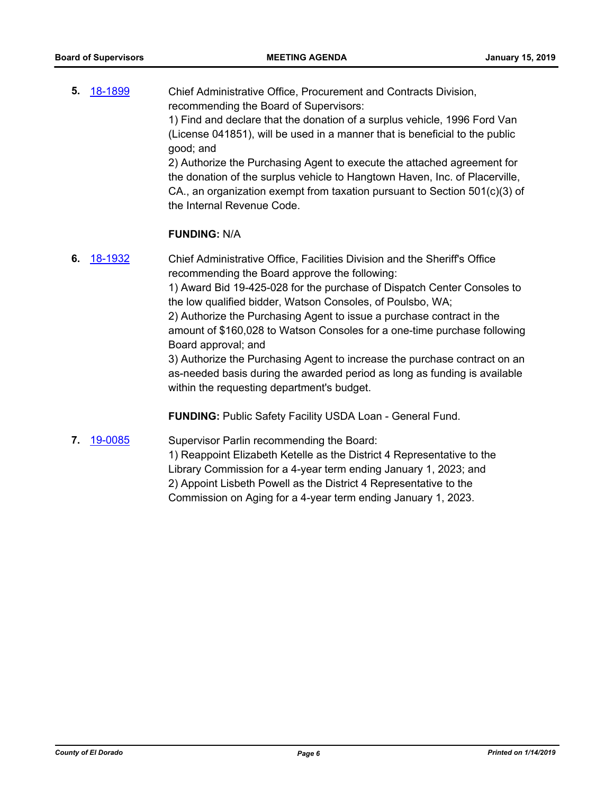**5.** [18-1899](http://eldorado.legistar.com/gateway.aspx?m=l&id=/matter.aspx?key=25249) Chief Administrative Office, Procurement and Contracts Division, recommending the Board of Supervisors: 1) Find and declare that the donation of a surplus vehicle, 1996 Ford Van (License 041851), will be used in a manner that is beneficial to the public good; and 2) Authorize the Purchasing Agent to execute the attached agreement for the donation of the surplus vehicle to Hangtown Haven, Inc. of Placerville, CA., an organization exempt from taxation pursuant to Section 501(c)(3) of the Internal Revenue Code.

#### **FUNDING:** N/A

**6.** [18-1932](http://eldorado.legistar.com/gateway.aspx?m=l&id=/matter.aspx?key=25282) Chief Administrative Office, Facilities Division and the Sheriff's Office recommending the Board approve the following: 1) Award Bid 19-425-028 for the purchase of Dispatch Center Consoles to the low qualified bidder, Watson Consoles, of Poulsbo, WA; 2) Authorize the Purchasing Agent to issue a purchase contract in the amount of \$160,028 to Watson Consoles for a one-time purchase following Board approval; and 3) Authorize the Purchasing Agent to increase the purchase contract on an as-needed basis during the awarded period as long as funding is available within the requesting department's budget.

**FUNDING:** Public Safety Facility USDA Loan - General Fund.

**7.** [19-0085](http://eldorado.legistar.com/gateway.aspx?m=l&id=/matter.aspx?key=25406) Supervisor Parlin recommending the Board:

1) Reappoint Elizabeth Ketelle as the District 4 Representative to the Library Commission for a 4-year term ending January 1, 2023; and 2) Appoint Lisbeth Powell as the District 4 Representative to the Commission on Aging for a 4-year term ending January 1, 2023.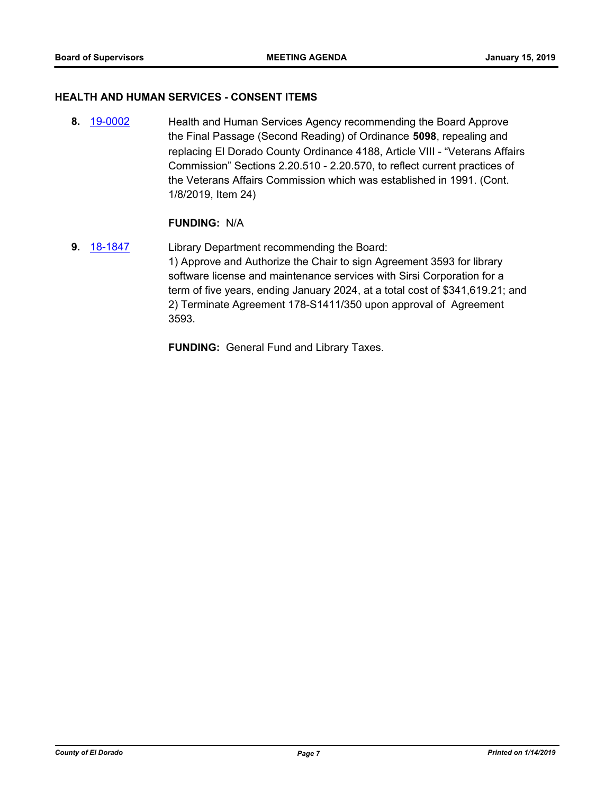#### **HEALTH AND HUMAN SERVICES - CONSENT ITEMS**

**8.** [19-0002](http://eldorado.legistar.com/gateway.aspx?m=l&id=/matter.aspx?key=25323) Health and Human Services Agency recommending the Board Approve the Final Passage (Second Reading) of Ordinance **5098**, repealing and replacing El Dorado County Ordinance 4188, Article VIII - "Veterans Affairs Commission" Sections 2.20.510 - 2.20.570, to reflect current practices of the Veterans Affairs Commission which was established in 1991. (Cont. 1/8/2019, Item 24)

#### **FUNDING:** N/A

**9.** [18-1847](http://eldorado.legistar.com/gateway.aspx?m=l&id=/matter.aspx?key=25197) Library Department recommending the Board: 1) Approve and Authorize the Chair to sign Agreement 3593 for library software license and maintenance services with Sirsi Corporation for a term of five years, ending January 2024, at a total cost of \$341,619.21; and 2) Terminate Agreement 178-S1411/350 upon approval of Agreement 3593.

**FUNDING:** General Fund and Library Taxes.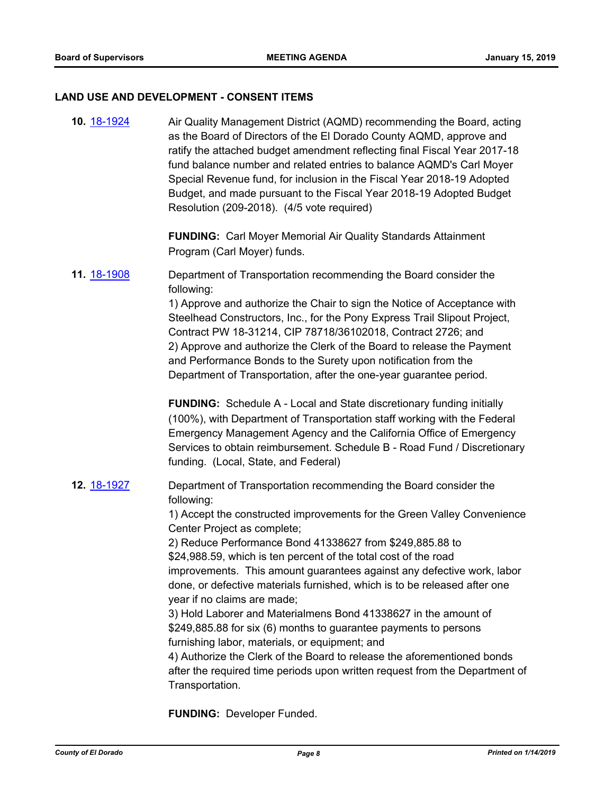#### **LAND USE AND DEVELOPMENT - CONSENT ITEMS**

**10.** [18-1924](http://eldorado.legistar.com/gateway.aspx?m=l&id=/matter.aspx?key=25274) Air Quality Management District (AQMD) recommending the Board, acting as the Board of Directors of the El Dorado County AQMD, approve and ratify the attached budget amendment reflecting final Fiscal Year 2017-18 fund balance number and related entries to balance AQMD's Carl Moyer Special Revenue fund, for inclusion in the Fiscal Year 2018-19 Adopted Budget, and made pursuant to the Fiscal Year 2018-19 Adopted Budget Resolution (209-2018). (4/5 vote required) **FUNDING:** Carl Moyer Memorial Air Quality Standards Attainment Program (Carl Moyer) funds. **11.** [18-1908](http://eldorado.legistar.com/gateway.aspx?m=l&id=/matter.aspx?key=25258) Department of Transportation recommending the Board consider the following: 1) Approve and authorize the Chair to sign the Notice of Acceptance with Steelhead Constructors, Inc., for the Pony Express Trail Slipout Project, Contract PW 18-31214, CIP 78718/36102018, Contract 2726; and 2) Approve and authorize the Clerk of the Board to release the Payment and Performance Bonds to the Surety upon notification from the Department of Transportation, after the one-year guarantee period. **FUNDING:** Schedule A - Local and State discretionary funding initially (100%), with Department of Transportation staff working with the Federal Emergency Management Agency and the California Office of Emergency Services to obtain reimbursement. Schedule B - Road Fund / Discretionary funding. (Local, State, and Federal) **12.** [18-1927](http://eldorado.legistar.com/gateway.aspx?m=l&id=/matter.aspx?key=25277) Department of Transportation recommending the Board consider the following: 1) Accept the constructed improvements for the Green Valley Convenience Center Project as complete; 2) Reduce Performance Bond 41338627 from \$249,885.88 to \$24,988.59, which is ten percent of the total cost of the road improvements. This amount guarantees against any defective work, labor done, or defective materials furnished, which is to be released after one year if no claims are made; 3) Hold Laborer and Materialmens Bond 41338627 in the amount of \$249,885.88 for six (6) months to guarantee payments to persons furnishing labor, materials, or equipment; and 4) Authorize the Clerk of the Board to release the aforementioned bonds after the required time periods upon written request from the Department of Transportation.

**FUNDING:** Developer Funded.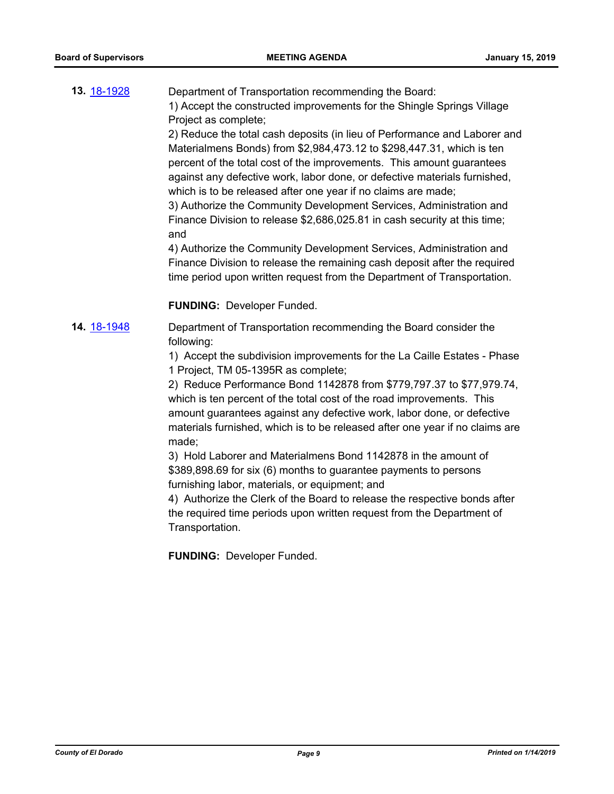**13.** [18-1928](http://eldorado.legistar.com/gateway.aspx?m=l&id=/matter.aspx?key=25278) Department of Transportation recommending the Board: 1) Accept the constructed improvements for the Shingle Springs Village Project as complete;

2) Reduce the total cash deposits (in lieu of Performance and Laborer and Materialmens Bonds) from \$2,984,473.12 to \$298,447.31, which is ten percent of the total cost of the improvements. This amount guarantees against any defective work, labor done, or defective materials furnished, which is to be released after one year if no claims are made;

3) Authorize the Community Development Services, Administration and Finance Division to release \$2,686,025.81 in cash security at this time; and

4) Authorize the Community Development Services, Administration and Finance Division to release the remaining cash deposit after the required time period upon written request from the Department of Transportation.

#### **FUNDING:** Developer Funded.

**14.** [18-1948](http://eldorado.legistar.com/gateway.aspx?m=l&id=/matter.aspx?key=25298) Department of Transportation recommending the Board consider the following:

> 1) Accept the subdivision improvements for the La Caille Estates - Phase 1 Project, TM 05-1395R as complete;

> 2) Reduce Performance Bond 1142878 from \$779,797.37 to \$77,979.74, which is ten percent of the total cost of the road improvements. This amount guarantees against any defective work, labor done, or defective materials furnished, which is to be released after one year if no claims are made;

3) Hold Laborer and Materialmens Bond 1142878 in the amount of \$389,898.69 for six (6) months to guarantee payments to persons furnishing labor, materials, or equipment; and

4) Authorize the Clerk of the Board to release the respective bonds after the required time periods upon written request from the Department of Transportation.

**FUNDING:** Developer Funded.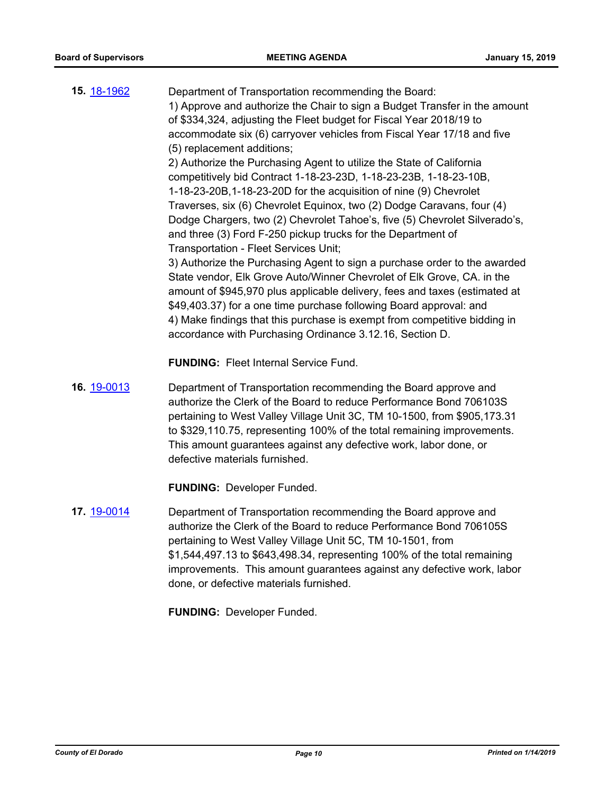| 15. 18-1962 | Department of Transportation recommending the Board:<br>1) Approve and authorize the Chair to sign a Budget Transfer in the amount<br>of \$334,324, adjusting the Fleet budget for Fiscal Year 2018/19 to<br>accommodate six (6) carryover vehicles from Fiscal Year 17/18 and five<br>(5) replacement additions;<br>2) Authorize the Purchasing Agent to utilize the State of California<br>competitively bid Contract 1-18-23-23D, 1-18-23-23B, 1-18-23-10B,<br>1-18-23-20B, 1-18-23-20D for the acquisition of nine (9) Chevrolet<br>Traverses, six (6) Chevrolet Equinox, two (2) Dodge Caravans, four (4)<br>Dodge Chargers, two (2) Chevrolet Tahoe's, five (5) Chevrolet Silverado's,<br>and three (3) Ford F-250 pickup trucks for the Department of<br>Transportation - Fleet Services Unit;<br>3) Authorize the Purchasing Agent to sign a purchase order to the awarded<br>State vendor, Elk Grove Auto/Winner Chevrolet of Elk Grove, CA. in the<br>amount of \$945,970 plus applicable delivery, fees and taxes (estimated at<br>\$49,403.37) for a one time purchase following Board approval: and<br>4) Make findings that this purchase is exempt from competitive bidding in<br>accordance with Purchasing Ordinance 3.12.16, Section D. |
|-------------|-----------------------------------------------------------------------------------------------------------------------------------------------------------------------------------------------------------------------------------------------------------------------------------------------------------------------------------------------------------------------------------------------------------------------------------------------------------------------------------------------------------------------------------------------------------------------------------------------------------------------------------------------------------------------------------------------------------------------------------------------------------------------------------------------------------------------------------------------------------------------------------------------------------------------------------------------------------------------------------------------------------------------------------------------------------------------------------------------------------------------------------------------------------------------------------------------------------------------------------------------------------|
|             | <b>FUNDING: Fleet Internal Service Fund.</b>                                                                                                                                                                                                                                                                                                                                                                                                                                                                                                                                                                                                                                                                                                                                                                                                                                                                                                                                                                                                                                                                                                                                                                                                              |
| 16. 19-0013 | Department of Transportation recommending the Board approve and<br>authorize the Clerk of the Board to reduce Performance Bond 706103S<br>pertaining to West Valley Village Unit 3C, TM 10-1500, from \$905,173.31<br>to \$329,110.75, representing 100% of the total remaining improvements.<br>This amount guarantees against any defective work, labor done, or<br>defective materials furnished.                                                                                                                                                                                                                                                                                                                                                                                                                                                                                                                                                                                                                                                                                                                                                                                                                                                      |
|             | <b>FUNDING: Developer Funded.</b>                                                                                                                                                                                                                                                                                                                                                                                                                                                                                                                                                                                                                                                                                                                                                                                                                                                                                                                                                                                                                                                                                                                                                                                                                         |
| 17. 19-0014 | Department of Transportation recommending the Board approve and<br>authorize the Clerk of the Board to reduce Performance Bond 706105S<br>pertaining to West Valley Village Unit 5C, TM 10-1501, from<br>\$1,544,497.13 to \$643,498.34, representing 100% of the total remaining<br>improvements. This amount guarantees against any defective work, labor<br>done, or defective materials furnished.                                                                                                                                                                                                                                                                                                                                                                                                                                                                                                                                                                                                                                                                                                                                                                                                                                                    |

**FUNDING:** Developer Funded.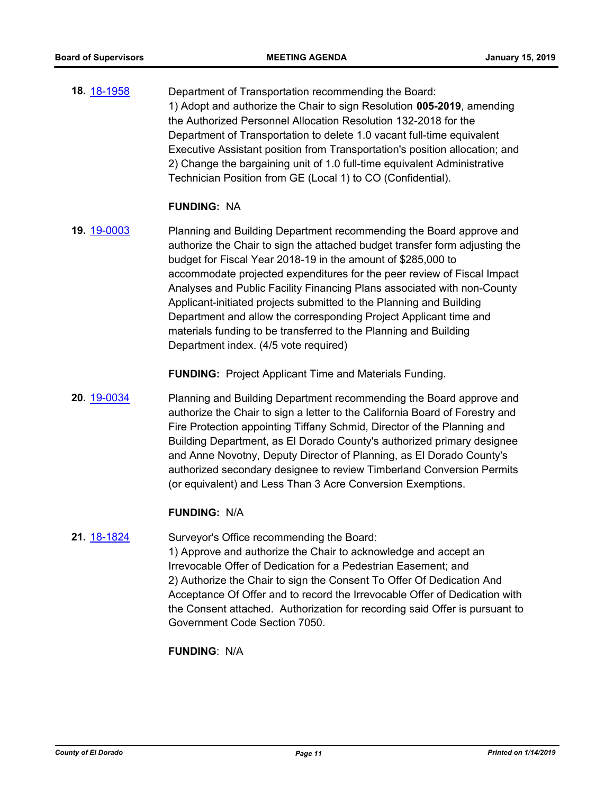**18.** [18-1958](http://eldorado.legistar.com/gateway.aspx?m=l&id=/matter.aspx?key=25308) Department of Transportation recommending the Board: 1) Adopt and authorize the Chair to sign Resolution **005-2019**, amending the Authorized Personnel Allocation Resolution 132-2018 for the Department of Transportation to delete 1.0 vacant full-time equivalent Executive Assistant position from Transportation's position allocation; and 2) Change the bargaining unit of 1.0 full-time equivalent Administrative Technician Position from GE (Local 1) to CO (Confidential).

#### **FUNDING:** NA

**19.** [19-0003](http://eldorado.legistar.com/gateway.aspx?m=l&id=/matter.aspx?key=25324) Planning and Building Department recommending the Board approve and authorize the Chair to sign the attached budget transfer form adjusting the budget for Fiscal Year 2018-19 in the amount of \$285,000 to accommodate projected expenditures for the peer review of Fiscal Impact Analyses and Public Facility Financing Plans associated with non-County Applicant-initiated projects submitted to the Planning and Building Department and allow the corresponding Project Applicant time and materials funding to be transferred to the Planning and Building Department index. (4/5 vote required)

**FUNDING:** Project Applicant Time and Materials Funding.

**20.** [19-0034](http://eldorado.legistar.com/gateway.aspx?m=l&id=/matter.aspx?key=25355) Planning and Building Department recommending the Board approve and authorize the Chair to sign a letter to the California Board of Forestry and Fire Protection appointing Tiffany Schmid, Director of the Planning and Building Department, as El Dorado County's authorized primary designee and Anne Novotny, Deputy Director of Planning, as El Dorado County's authorized secondary designee to review Timberland Conversion Permits (or equivalent) and Less Than 3 Acre Conversion Exemptions.

#### **FUNDING:** N/A

## **21.** [18-1824](http://eldorado.legistar.com/gateway.aspx?m=l&id=/matter.aspx?key=25175) Surveyor's Office recommending the Board:

1) Approve and authorize the Chair to acknowledge and accept an Irrevocable Offer of Dedication for a Pedestrian Easement; and 2) Authorize the Chair to sign the Consent To Offer Of Dedication And Acceptance Of Offer and to record the Irrevocable Offer of Dedication with the Consent attached. Authorization for recording said Offer is pursuant to Government Code Section 7050.

**FUNDING**: N/A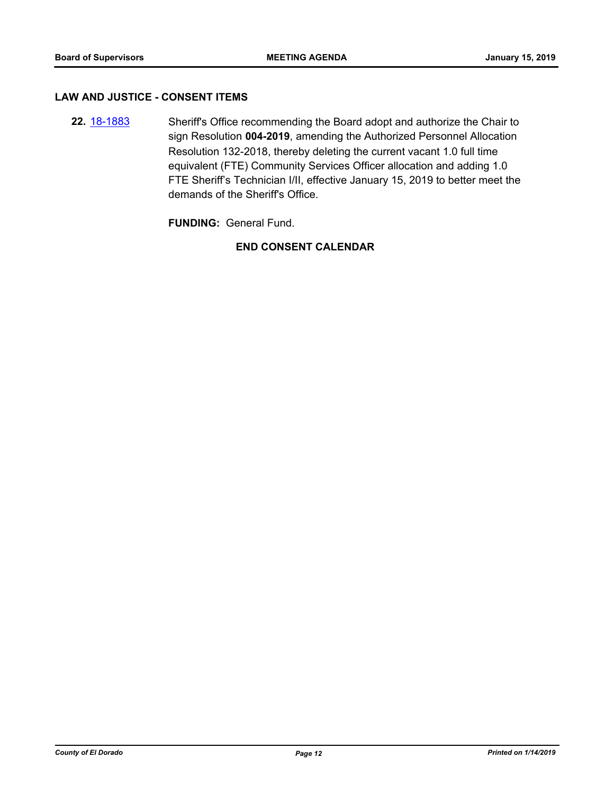#### **LAW AND JUSTICE - CONSENT ITEMS**

**22.** [18-1883](http://eldorado.legistar.com/gateway.aspx?m=l&id=/matter.aspx?key=25233) Sheriff's Office recommending the Board adopt and authorize the Chair to sign Resolution **004-2019**, amending the Authorized Personnel Allocation Resolution 132-2018, thereby deleting the current vacant 1.0 full time equivalent (FTE) Community Services Officer allocation and adding 1.0 FTE Sheriff's Technician I/II, effective January 15, 2019 to better meet the demands of the Sheriff's Office.

**FUNDING:** General Fund.

**END CONSENT CALENDAR**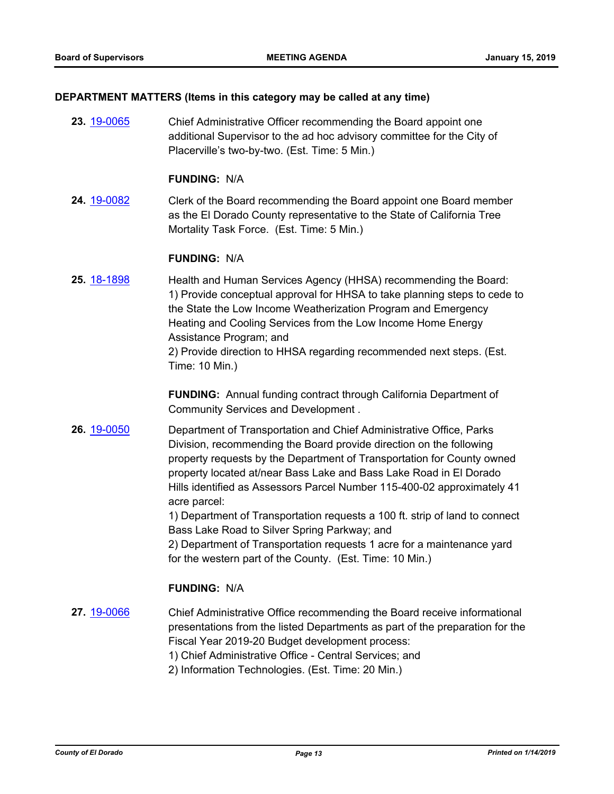#### **DEPARTMENT MATTERS (Items in this category may be called at any time)**

**23.** [19-0065](http://eldorado.legistar.com/gateway.aspx?m=l&id=/matter.aspx?key=25386) Chief Administrative Officer recommending the Board appoint one additional Supervisor to the ad hoc advisory committee for the City of Placerville's two-by-two. (Est. Time: 5 Min.)

#### **FUNDING:** N/A

**24.** [19-0082](http://eldorado.legistar.com/gateway.aspx?m=l&id=/matter.aspx?key=25403) Clerk of the Board recommending the Board appoint one Board member as the El Dorado County representative to the State of California Tree Mortality Task Force. (Est. Time: 5 Min.)

#### **FUNDING:** N/A

**25.** [18-1898](http://eldorado.legistar.com/gateway.aspx?m=l&id=/matter.aspx?key=25248) Health and Human Services Agency (HHSA) recommending the Board: 1) Provide conceptual approval for HHSA to take planning steps to cede to the State the Low Income Weatherization Program and Emergency Heating and Cooling Services from the Low Income Home Energy Assistance Program; and 2) Provide direction to HHSA regarding recommended next steps. (Est. Time: 10 Min.)

> **FUNDING:** Annual funding contract through California Department of Community Services and Development .

**26.** [19-0050](http://eldorado.legistar.com/gateway.aspx?m=l&id=/matter.aspx?key=25371) Department of Transportation and Chief Administrative Office, Parks Division, recommending the Board provide direction on the following property requests by the Department of Transportation for County owned property located at/near Bass Lake and Bass Lake Road in El Dorado Hills identified as Assessors Parcel Number 115-400-02 approximately 41 acre parcel:

> 1) Department of Transportation requests a 100 ft. strip of land to connect Bass Lake Road to Silver Spring Parkway; and

2) Department of Transportation requests 1 acre for a maintenance yard for the western part of the County. (Est. Time: 10 Min.)

#### **FUNDING:** N/A

**27.** [19-0066](http://eldorado.legistar.com/gateway.aspx?m=l&id=/matter.aspx?key=25387) Chief Administrative Office recommending the Board receive informational presentations from the listed Departments as part of the preparation for the Fiscal Year 2019-20 Budget development process:

1) Chief Administrative Office - Central Services; and

2) Information Technologies. (Est. Time: 20 Min.)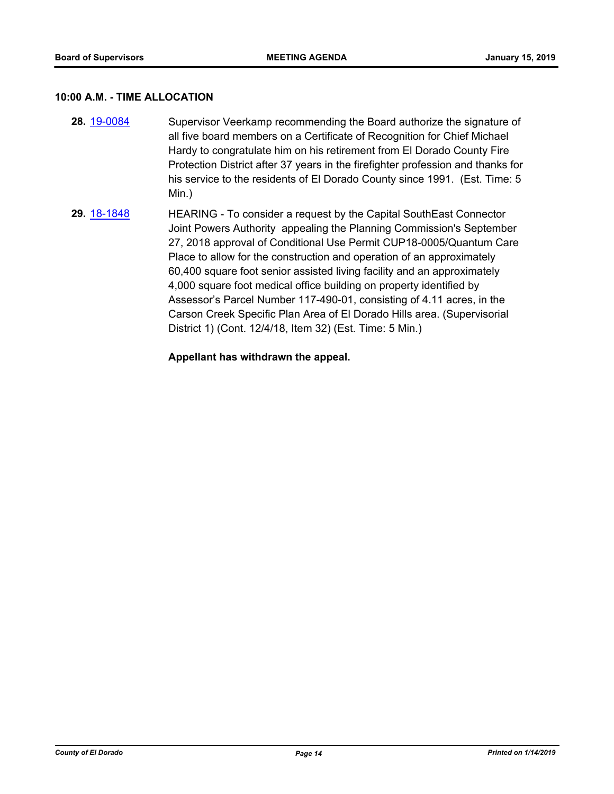#### **10:00 A.M. - TIME ALLOCATION**

- **28.** [19-0084](http://eldorado.legistar.com/gateway.aspx?m=l&id=/matter.aspx?key=25405) Supervisor Veerkamp recommending the Board authorize the signature of all five board members on a Certificate of Recognition for Chief Michael Hardy to congratulate him on his retirement from El Dorado County Fire Protection District after 37 years in the firefighter profession and thanks for his service to the residents of El Dorado County since 1991. (Est. Time: 5 Min.)
- **29.** [18-1848](http://eldorado.legistar.com/gateway.aspx?m=l&id=/matter.aspx?key=25198) HEARING To consider a request by the Capital SouthEast Connector Joint Powers Authority appealing the Planning Commission's September 27, 2018 approval of Conditional Use Permit CUP18-0005/Quantum Care Place to allow for the construction and operation of an approximately 60,400 square foot senior assisted living facility and an approximately 4,000 square foot medical office building on property identified by Assessor's Parcel Number 117-490-01, consisting of 4.11 acres, in the Carson Creek Specific Plan Area of El Dorado Hills area. (Supervisorial District 1) (Cont. 12/4/18, Item 32) (Est. Time: 5 Min.)

#### **Appellant has withdrawn the appeal.**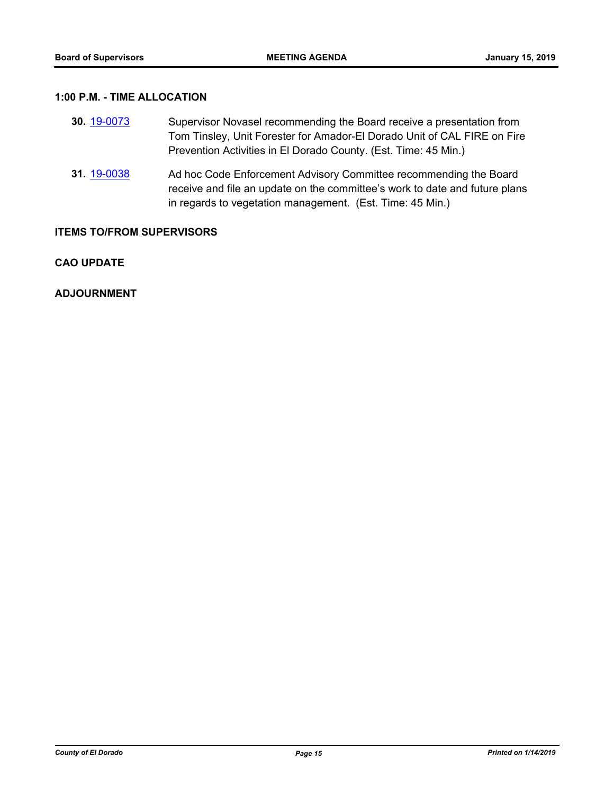### **1:00 P.M. - TIME ALLOCATION**

| <b>30 19-0073</b> | Supervisor Novasel recommending the Board receive a presentation from    |
|-------------------|--------------------------------------------------------------------------|
|                   | Tom Tinsley, Unit Forester for Amador-El Dorado Unit of CAL FIRE on Fire |
|                   | Prevention Activities in El Dorado County. (Est. Time: 45 Min.)          |

**31.** [19-0038](http://eldorado.legistar.com/gateway.aspx?m=l&id=/matter.aspx?key=25359) Ad hoc Code Enforcement Advisory Committee recommending the Board receive and file an update on the committee's work to date and future plans in regards to vegetation management. (Est. Time: 45 Min.)

#### **ITEMS TO/FROM SUPERVISORS**

#### **CAO UPDATE**

**ADJOURNMENT**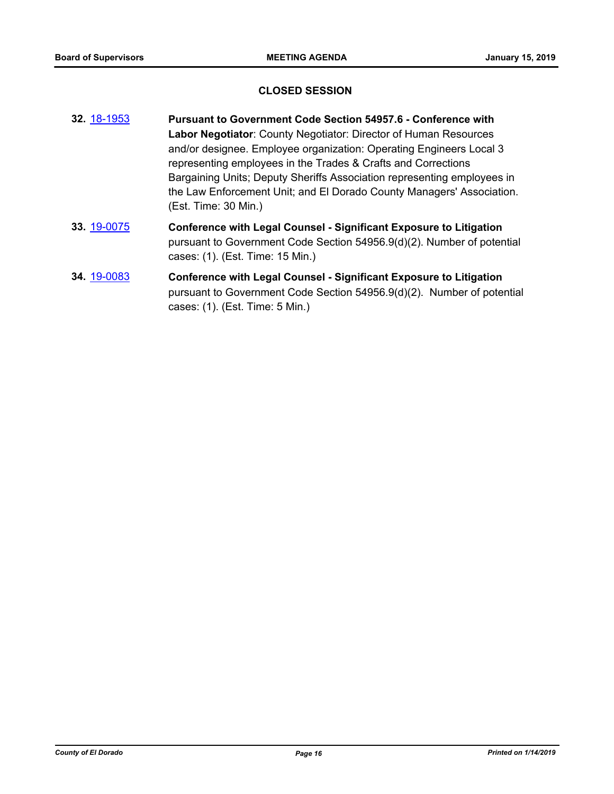#### **CLOSED SESSION**

- **32.** [18-1953](http://eldorado.legistar.com/gateway.aspx?m=l&id=/matter.aspx?key=25303) **Pursuant to Government Code Section 54957.6 Conference with Labor Negotiator**: County Negotiator: Director of Human Resources and/or designee. Employee organization: Operating Engineers Local 3 representing employees in the Trades & Crafts and Corrections Bargaining Units; Deputy Sheriffs Association representing employees in the Law Enforcement Unit; and El Dorado County Managers' Association. (Est. Time: 30 Min.)
- **33.** [19-0075](http://eldorado.legistar.com/gateway.aspx?m=l&id=/matter.aspx?key=25396) **Conference with Legal Counsel Significant Exposure to Litigation** pursuant to Government Code Section 54956.9(d)(2). Number of potential cases: (1). (Est. Time: 15 Min.)
- **34.** [19-0083](http://eldorado.legistar.com/gateway.aspx?m=l&id=/matter.aspx?key=25404) **Conference with Legal Counsel Significant Exposure to Litigation** pursuant to Government Code Section 54956.9(d)(2). Number of potential cases: (1). (Est. Time: 5 Min.)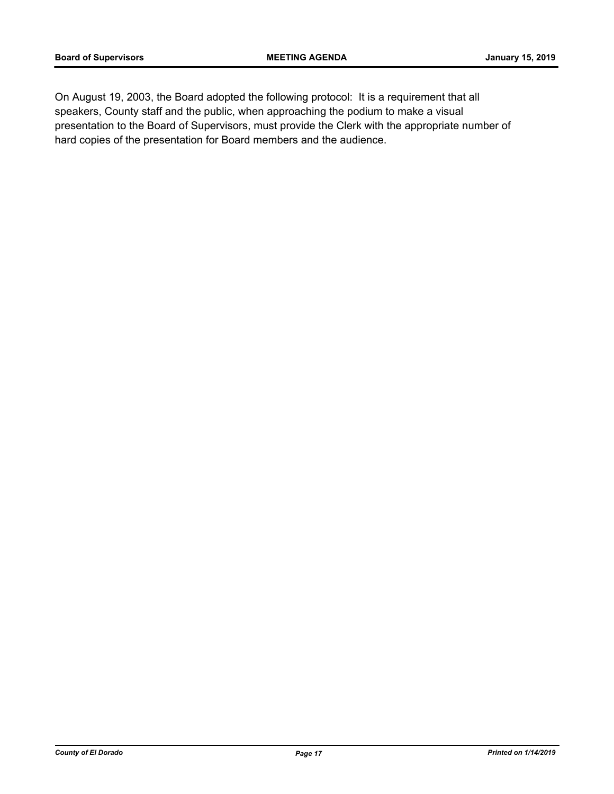On August 19, 2003, the Board adopted the following protocol: It is a requirement that all speakers, County staff and the public, when approaching the podium to make a visual presentation to the Board of Supervisors, must provide the Clerk with the appropriate number of hard copies of the presentation for Board members and the audience.